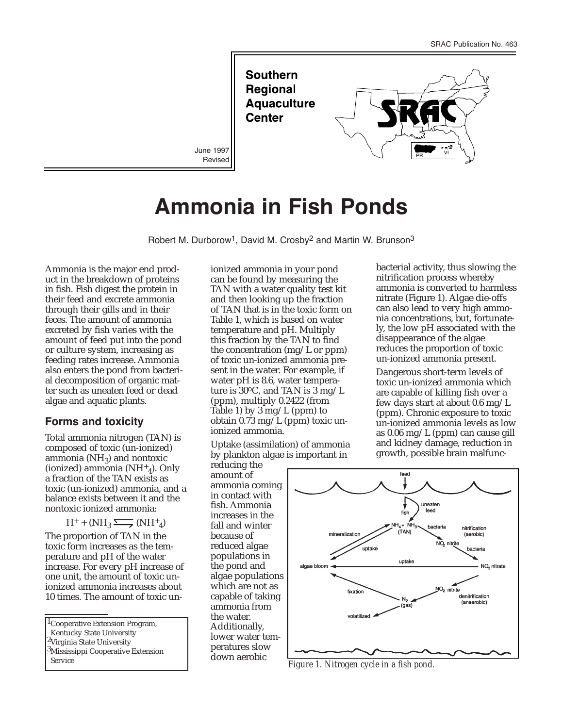**Southern Regional Aquaculture Center** June 1997  $\bigcup$  PR  $\bigcup$  PR  $\bigcup$  Vi

## **Ammonia in Fish Ponds**

**Revised** 

Robert M. Durborow<sup>1</sup>, David M. Crosby<sup>2</sup> and Martin W. Brunson<sup>3</sup>

Ammonia is the major end product in the breakdown of proteins in fish. Fish digest the protein in their feed and excrete ammonia through their gills and in their feces. The amount of ammonia excreted by fish varies with the amount of feed put into the pond or culture system, increasing as feeding rates increase. Ammonia also enters the pond from bacterial decomposition of organic matter such as uneaten feed or dead algae and aquatic plants.

## **Forms and toxicity**

Total ammonia nitrogen (TAN) is composed of toxic (un-ionized) ammonia ( $NH<sub>3</sub>$ ) and nontoxic (ionized) ammonia  $(NH<sup>+</sup><sub>4</sub>)$ . Only a fraction of the TAN exists as toxic (un-ionized) ammonia, and a balance exists between it and the nontoxic ionized ammonia:

 $H^+$  + (NH<sub>3</sub>  $\longrightarrow$  (NH<sup>+</sup><sub>4</sub>)

The proportion of TAN in the toxic form increases as the temperature and pH of the water increase. For every pH increase of one unit, the amount of toxic unionized ammonia increases about 10 times. The amount of toxic un-

<sup>1</sup>Cooperative Extension Program, Kentucky State University <sup>2</sup>Virginia State University <sup>3</sup>Mississippi Cooperative Extension Service *Figure 1. Nitrogen cycle in a fish pond.*

ionized ammonia in your pond can be found by measuring the TAN with a water quality test kit and then looking up the fraction of TAN that is in the toxic form on Table 1, which is based on water temperature and pH. Multiply this fraction by the TAN to find the concentration (mg/L or ppm) of toxic un-ionized ammonia present in the water. For example, if water pH is 8.6, water temperature is 30 $^{\circ}$ C, and TAN is 3 mg/L (ppm), multiply 0.2422 (from Table 1) by 3 mg/L (ppm) to obtain 0.73 mg/L (ppm) toxic unionized ammonia.

Uptake (assimilation) of ammonia by plankton algae is important in

reducing the amount of ammonia coming in contact with fish. Ammonia increases in the fall and winter because of reduced algae populations in the pond and algae populations which are not as capable of taking ammonia from the water. Additionally, lower water temperatures slow down aerobic

bacterial activity, thus slowing the nitrification process whereby ammonia is converted to harmless nitrate (Figure 1). Algae die-offs can also lead to very high ammonia concentrations, but, fortunately, the low pH associated with the disappearance of the algae reduces the proportion of toxic un-ionized ammonia present.

Dangerous short-term levels of toxic un-ionized ammonia which are capable of killing fish over a few days start at about 0.6 mg/L (ppm). Chronic exposure to toxic un-ionized ammonia levels as low as 0.06 mg/L (ppm) can cause gill and kidney damage, reduction in growth, possible brain malfunc-